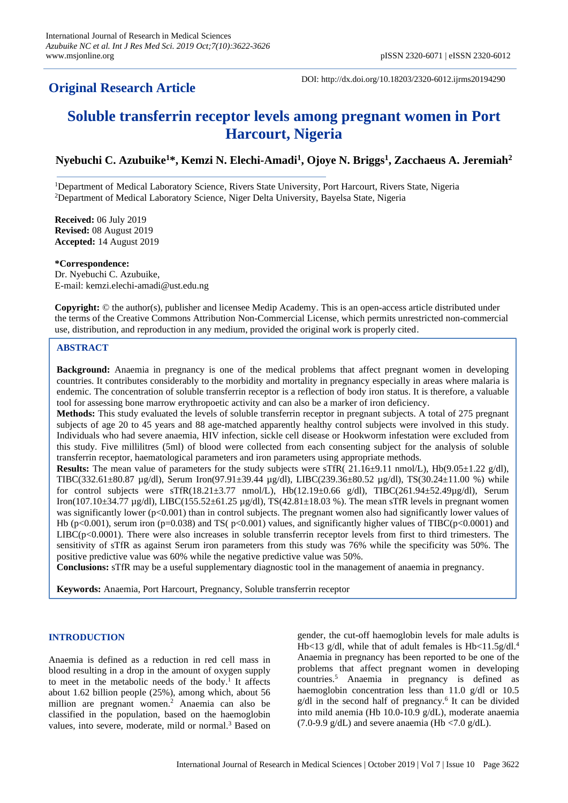## **Original Research Article**

DOI: http://dx.doi.org/10.18203/2320-6012.ijrms20194290

# **Soluble transferrin receptor levels among pregnant women in Port Harcourt, Nigeria**

## **Nyebuchi C. Azubuike<sup>1</sup>\*, Kemzi N. Elechi-Amadi<sup>1</sup> , Ojoye N. Briggs<sup>1</sup> , Zacchaeus A. Jeremiah<sup>2</sup>**

<sup>1</sup>Department of Medical Laboratory Science, Rivers State University, Port Harcourt, Rivers State, Nigeria <sup>2</sup>Department of Medical Laboratory Science, Niger Delta University, Bayelsa State, Nigeria

**Received:** 06 July 2019 **Revised:** 08 August 2019 **Accepted:** 14 August 2019

**\*Correspondence:** Dr. Nyebuchi C. Azubuike, E-mail: kemzi.elechi-amadi@ust.edu.ng

**Copyright:** © the author(s), publisher and licensee Medip Academy. This is an open-access article distributed under the terms of the Creative Commons Attribution Non-Commercial License, which permits unrestricted non-commercial use, distribution, and reproduction in any medium, provided the original work is properly cited.

### **ABSTRACT**

**Background:** Anaemia in pregnancy is one of the medical problems that affect pregnant women in developing countries. It contributes considerably to the morbidity and mortality in pregnancy especially in areas where malaria is endemic. The concentration of soluble transferrin receptor is a reflection of body iron status. It is therefore, a valuable tool for assessing bone marrow erythropoetic activity and can also be a marker of iron deficiency.

**Methods:** This study evaluated the levels of soluble transferrin receptor in pregnant subjects. A total of 275 pregnant subjects of age 20 to 45 years and 88 age-matched apparently healthy control subjects were involved in this study. Individuals who had severe anaemia, HIV infection, sickle cell disease or Hookworm infestation were excluded from this study. Five millilitres (5ml) of blood were collected from each consenting subject for the analysis of soluble transferrin receptor, haematological parameters and iron parameters using appropriate methods.

**Results:** The mean value of parameters for the study subjects were sTfR(  $21.16\pm9.11$  nmol/L), Hb(9.05 $\pm1.22$  g/dl), TIBC(332.61 $\pm$ 80.87 µg/dl), Serum Iron(97.91 $\pm$ 39.44 µg/dl), LIBC(239.36 $\pm$ 80.52 µg/dl), TS(30.24 $\pm$ 11.00 %) while for control subjects were sTfR(18.21±3.77 nmol/L), Hb(12.19±0.66 g/dl), TIBC(261.94±52.49µg/dl), Serum Iron(107.10±34.77 µg/dl), LIBC(155.52±61.25 µg/dl), TS(42.81±18.03 %). The mean sTfR levels in pregnant women was significantly lower (p<0.001) than in control subjects. The pregnant women also had significantly lower values of Hb (p<0.001), serum iron (p=0.038) and TS( p<0.001) values, and significantly higher values of TIBC(p<0.0001) and  $LIBC(p<0.0001)$ . There were also increases in soluble transferrin receptor levels from first to third trimesters. The sensitivity of sTfR as against Serum iron parameters from this study was 76% while the specificity was 50%. The positive predictive value was 60% while the negative predictive value was 50%.

**Conclusions:** sTfR may be a useful supplementary diagnostic tool in the management of anaemia in pregnancy.

**Keywords:** Anaemia, Port Harcourt, Pregnancy, Soluble transferrin receptor

## **INTRODUCTION**

Anaemia is defined as a reduction in red cell mass in blood resulting in a drop in the amount of oxygen supply to meet in the metabolic needs of the body.<sup>1</sup> It affects about 1.62 billion people (25%), among which, about 56 million are pregnant women.<sup>2</sup> Anaemia can also be classified in the population, based on the haemoglobin values, into severe, moderate, mild or normal.<sup>3</sup> Based on gender, the cut-off haemoglobin levels for male adults is Hb<13 g/dl, while that of adult females is  $Hb<11.5g/dl^4$ . Anaemia in pregnancy has been reported to be one of the problems that affect pregnant women in developing countries.<sup>5</sup> Anaemia in pregnancy is defined as haemoglobin concentration less than 11.0 g/dl or 10.5 g/dl in the second half of pregnancy.<sup>6</sup> It can be divided into mild anemia (Hb 10.0-10.9 g/dL), moderate anaemia  $(7.0\n-9.9 \text{ g/dL})$  and severe anaemia (Hb <7.0 g/dL).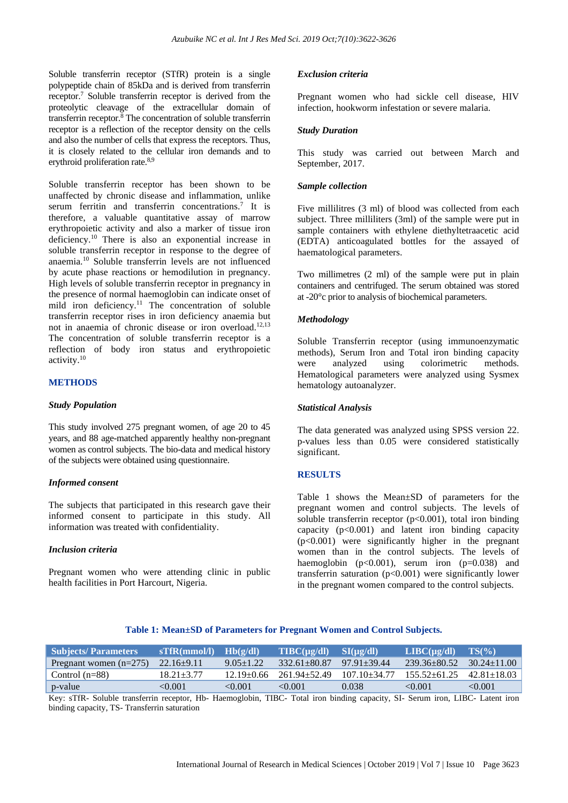Soluble transferrin receptor (STfR) protein is a single polypeptide chain of 85kDa and is derived from transferrin receptor. <sup>7</sup> Soluble transferrin receptor is derived from the proteolytic cleavage of the extracellular domain of transferrin receptor.<sup>8</sup> The concentration of soluble transferrin receptor is a reflection of the receptor density on the cells and also the number of cells that express the receptors. Thus, it is closely related to the cellular iron demands and to erythroid proliferation rate.<sup>8,9</sup>

Soluble transferrin receptor has been shown to be unaffected by chronic disease and inflammation, unlike serum ferritin and transferrin concentrations.<sup>7</sup> It is therefore, a valuable quantitative assay of marrow erythropoietic activity and also a marker of tissue iron deficiency.<sup>10</sup> There is also an exponential increase in soluble transferrin receptor in response to the degree of anaemia.<sup>10</sup> Soluble transferrin levels are not influenced by acute phase reactions or hemodilution in pregnancy. High levels of soluble transferrin receptor in pregnancy in the presence of normal haemoglobin can indicate onset of mild iron deficiency.<sup>11</sup> The concentration of soluble transferrin receptor rises in iron deficiency anaemia but not in anaemia of chronic disease or iron overload. 12,13 The concentration of soluble transferrin receptor is a reflection of body iron status and erythropoietic activity. 10

#### **METHODS**

#### *Study Population*

This study involved 275 pregnant women, of age 20 to 45 years, and 88 age-matched apparently healthy non-pregnant women as control subjects. The bio-data and medical history of the subjects were obtained using questionnaire.

#### *Informed consent*

The subjects that participated in this research gave their informed consent to participate in this study. All information was treated with confidentiality.

#### *Inclusion criteria*

Pregnant women who were attending clinic in public health facilities in Port Harcourt, Nigeria.

#### *Exclusion criteria*

Pregnant women who had sickle cell disease, HIV infection, hookworm infestation or severe malaria.

#### *Study Duration*

This study was carried out between March and September, 2017.

#### *Sample collection*

Five millilitres (3 ml) of blood was collected from each subject. Three milliliters (3ml) of the sample were put in sample containers with ethylene diethyltetraacetic acid (EDTA) anticoagulated bottles for the assayed of haematological parameters.

Two millimetres (2 ml) of the sample were put in plain containers and centrifuged. The serum obtained was stored at -20°c prior to analysis of biochemical parameters.

#### *Methodology*

Soluble Transferrin receptor (using immunoenzymatic methods), Serum Iron and Total iron binding capacity were analyzed using colorimetric methods. Hematological parameters were analyzed using Sysmex hematology autoanalyzer.

#### *Statistical Analysis*

The data generated was analyzed using SPSS version 22. p-values less than 0.05 were considered statistically significant.

#### **RESULTS**

Table 1 shows the Mean±SD of parameters for the pregnant women and control subjects. The levels of soluble transferrin receptor  $(p<0.001)$ , total iron binding capacity  $(p<0.001)$  and latent iron binding capacity (p<0.001) were significantly higher in the pregnant women than in the control subjects. The levels of haemoglobin  $(p<0.001)$ , serum iron  $(p=0.038)$  and transferrin saturation (p<0.001) were significantly lower in the pregnant women compared to the control subjects.

#### **Table 1: Mean±SD of Parameters for Pregnant Women and Control Subjects.**

| <b>Subjects/Parameters</b> | STfR(mmol/l)     | Hb(g/dl)        | $\text{TIBC}(\mu\text{g/dl}) = \text{SI}(\mu\text{g/dl})^2$ |                    | $LIBC(\mu g/dl)$   | TS(%)             |
|----------------------------|------------------|-----------------|-------------------------------------------------------------|--------------------|--------------------|-------------------|
| Pregnant women $(n=275)$   | $22.16 \pm 9.11$ | $9.05 \pm 1.22$ | $332.61 + 80.87$                                            | $97.91 \pm 39.44$  | $239.36 \pm 80.52$ | $30.24 \pm 11.00$ |
| Control $(n=88)$           | $18.21 + 3.77$   | $12.19 + 0.66$  | $261.94 \pm 52.49$                                          | $107.10 \pm 34.77$ | $155.52 \pm 61.25$ | $42.81 \pm 18.03$ |
| p-value                    | < 0.001          | < 0.001         | $\leq 0.001$                                                | 0.038              | < 0.001            | < 0.001           |

Key: sTfR- Soluble transferrin receptor, Hb- Haemoglobin, TIBC- Total iron binding capacity, SI- Serum iron, LIBC- Latent iron binding capacity, TS- Transferrin saturation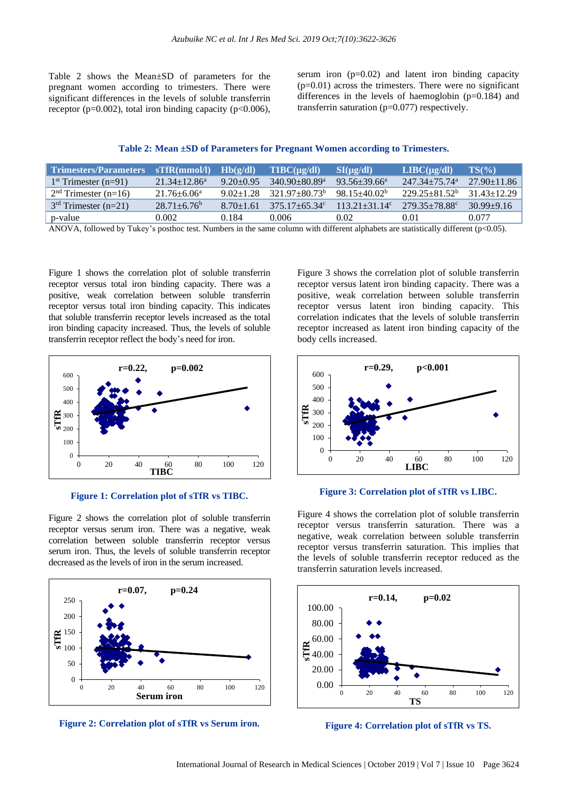Table 2 shows the Mean±SD of parameters for the pregnant women according to trimesters. There were significant differences in the levels of soluble transferrin receptor ( $p=0.002$ ), total iron binding capacity ( $p<0.006$ ), serum iron  $(p=0.02)$  and latent iron binding capacity  $(p=0.01)$  across the trimesters. There were no significant differences in the levels of haemoglobin (p=0.184) and transferrin saturation (p=0.077) respectively.

| Trimesters/Parameters  | STfR(mmol/l)                | Hb(g/dl)      | $T\text{IBC}(u\text{g}/dl)$   | SI(ue/dl)         | $LIBC(\mu\alpha/dl)$          | $TS(\%)$        |
|------------------------|-----------------------------|---------------|-------------------------------|-------------------|-------------------------------|-----------------|
| $1st$ Trimester (n=91) | $21.34 + 12.86^a$           | $9.20 + 0.95$ | $340.90 + 80.89$ <sup>a</sup> | $93.56 + 39.66^a$ | $247.34 + 75.74$ <sup>a</sup> | $27.90 + 11.86$ |
| $2nd$ Trimester (n=16) | $21.76 \pm 6.06^a$          | $9.02 + 1.28$ | $321.97 + 80.73^b$            | $98.15 + 40.02^b$ | $229.25 + 81.52^b$            | $31.43 + 12.29$ |
| $3rd$ Trimester (n=21) | $28.71 + 6.76$ <sup>b</sup> | $8.70 + 1.61$ | $375.17 + 65.34$ °            | $11321+3114c$     | $279.35 + 78.88$              | $30.99 + 9.16$  |
| p-value                | 0.002.                      | 0.184         | 0.006                         | 0.02              | 0.01                          | 0.077           |

ANOVA, followed by Tukey's posthoc test. Numbers in the same column with different alphabets are statistically different (p<0.05).

Figure 1 shows the correlation plot of soluble transferrin receptor versus total iron binding capacity. There was a positive, weak correlation between soluble transferrin receptor versus total iron binding capacity. This indicates that soluble transferrin receptor levels increased as the total iron binding capacity increased. Thus, the levels of soluble transferrin receptor reflect the body's need for iron.



#### **Figure 1: Correlation plot of sTfR vs TIBC.**

Figure 2 shows the correlation plot of soluble transferrin receptor versus serum iron. There was a negative, weak correlation between soluble transferrin receptor versus serum iron. Thus, the levels of soluble transferrin receptor decreased as the levels of iron in the serum increased.



**Figure 2: Correlation plot of sTfR vs Serum iron.**

Figure 3 shows the correlation plot of soluble transferrin receptor versus latent iron binding capacity. There was a positive, weak correlation between soluble transferrin receptor versus latent iron binding capacity. This correlation indicates that the levels of soluble transferrin receptor increased as latent iron binding capacity of the body cells increased.



#### **Figure 3: Correlation plot of sTfR vs LIBC.**

Figure 4 shows the correlation plot of soluble transferrin receptor versus transferrin saturation. There was a negative, weak correlation between soluble transferrin receptor versus transferrin saturation. This implies that the levels of soluble transferrin receptor reduced as the transferrin saturation levels increased.



**Figure 4: Correlation plot of sTfR vs TS.**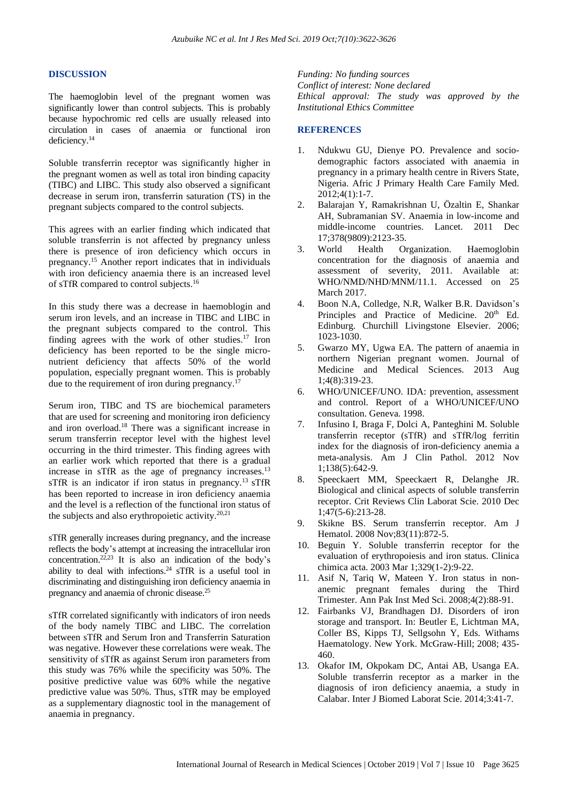#### **DISCUSSION**

The haemoglobin level of the pregnant women was significantly lower than control subjects. This is probably because hypochromic red cells are usually released into circulation in cases of anaemia or functional iron deficiency.<sup>14</sup>

Soluble transferrin receptor was significantly higher in the pregnant women as well as total iron binding capacity (TIBC) and LIBC. This study also observed a significant decrease in serum iron, transferrin saturation (TS) in the pregnant subjects compared to the control subjects.

This agrees with an earlier finding which indicated that soluble transferrin is not affected by pregnancy unless there is presence of iron deficiency which occurs in pregnancy.<sup>15</sup> Another report indicates that in individuals with iron deficiency anaemia there is an increased level of sTfR compared to control subjects.<sup>16</sup>

In this study there was a decrease in haemoblogin and serum iron levels, and an increase in TIBC and LIBC in the pregnant subjects compared to the control. This finding agrees with the work of other studies.<sup>17</sup> Iron deficiency has been reported to be the single micronutrient deficiency that affects 50% of the world population, especially pregnant women. This is probably due to the requirement of iron during pregnancy.<sup>17</sup>

Serum iron, TIBC and TS are biochemical parameters that are used for screening and monitoring iron deficiency and iron overload.<sup>18</sup> There was a significant increase in serum transferrin receptor level with the highest level occurring in the third trimester. This finding agrees with an earlier work which reported that there is a gradual increase in sTfR as the age of pregnancy increases.<sup>13</sup> sTfR is an indicator if iron status in pregnancy.<sup>13</sup> sTfR has been reported to increase in iron deficiency anaemia and the level is a reflection of the functional iron status of the subjects and also erythropoietic activity. $20,21$ 

sTfR generally increases during pregnancy, and the increase reflects the body's attempt at increasing the intracellular iron concentration.<sup>22,23</sup> It is also an indication of the body's ability to deal with infections.<sup>24</sup> sTfR is a useful tool in discriminating and distinguishing iron deficiency anaemia in pregnancy and anaemia of chronic disease. 25

sTfR correlated significantly with indicators of iron needs of the body namely TIBC and LIBC. The correlation between sTfR and Serum Iron and Transferrin Saturation was negative. However these correlations were weak. The sensitivity of sTfR as against Serum iron parameters from this study was 76% while the specificity was 50%. The positive predictive value was 60% while the negative predictive value was 50%. Thus, sTfR may be employed as a supplementary diagnostic tool in the management of anaemia in pregnancy.

*Funding: No funding sources Conflict of interest: None declared Ethical approval: The study was approved by the Institutional Ethics Committee*

#### **REFERENCES**

- 1. Ndukwu GU, Dienye PO. Prevalence and sociodemographic factors associated with anaemia in pregnancy in a primary health centre in Rivers State, Nigeria. Afric J Primary Health Care Family Med. 2012;4(1):1-7.
- 2. Balarajan Y, Ramakrishnan U, Özaltin E, Shankar AH, Subramanian SV. Anaemia in low-income and middle-income countries. Lancet. 2011 Dec 17;378(9809):2123-35.
- 3. World Health Organization. Haemoglobin concentration for the diagnosis of anaemia and assessment of severity, 2011. Available at: WHO/NMD/NHD/MNM/11.1. Accessed on 25 March 2017.
- 4. Boon N.A, Colledge, N.R, Walker B.R. Davidson's Principles and Practice of Medicine. 20<sup>th</sup> Ed. Edinburg. Churchill Livingstone Elsevier. 2006; 1023-1030.
- 5. Gwarzo MY, Ugwa EA. The pattern of anaemia in northern Nigerian pregnant women. Journal of Medicine and Medical Sciences. 2013 Aug 1;4(8):319-23.
- 6. WHO/UNICEF/UNO. IDA: prevention, assessment and control. Report of a WHO/UNICEF/UNO consultation. Geneva. 1998.
- 7. Infusino I, Braga F, Dolci A, Panteghini M. Soluble transferrin receptor (sTfR) and sTfR/log ferritin index for the diagnosis of iron-deficiency anemia a meta-analysis. Am J Clin Pathol. 2012 Nov 1;138(5):642-9.
- 8. Speeckaert MM, Speeckaert R, Delanghe JR. Biological and clinical aspects of soluble transferrin receptor. Crit Reviews Clin Laborat Scie. 2010 Dec 1;47(5-6):213-28.
- 9. Skikne BS. Serum transferrin receptor. Am J Hematol. 2008 Nov;83(11):872-5.
- 10. Beguin Y. Soluble transferrin receptor for the evaluation of erythropoiesis and iron status. Clinica chimica acta. 2003 Mar 1;329(1-2):9-22.
- 11. Asif N, Tariq W, Mateen Y. Iron status in nonanemic pregnant females during the Third Trimester. Ann Pak Inst Med Sci. 2008;4(2):88-91.
- 12. Fairbanks VJ, Brandhagen DJ. Disorders of iron storage and transport. In: Beutler E, Lichtman MA, Coller BS, Kipps TJ, Sellgsohn Y, Eds. Withams Haematology. New York. McGraw-Hill; 2008; 435- 460.
- 13. Okafor IM, Okpokam DC, Antai AB, Usanga EA. Soluble transferrin receptor as a marker in the diagnosis of iron deficiency anaemia, a study in Calabar. Inter J Biomed Laborat Scie. 2014;3:41-7.